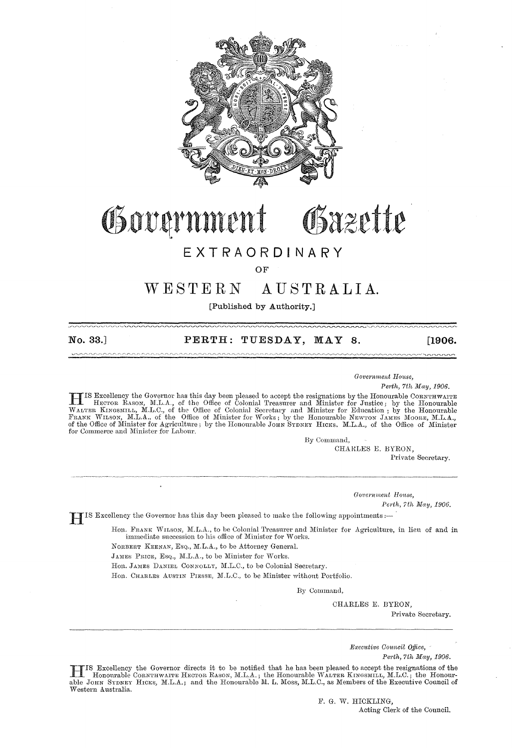

## Government Gazette

### EXTRAORDINARY

OF

#### AUSTRALIA. WESTERN

[Published by Authority.]

No. 33.

#### PERTH: TUESDAY, MAY 8.

 $[1906.$ 

Government House.

Perth, 7th May, 1906.

TIS Excellency the Governor has this day been pleased to accept the resignations by the Honourable CORNTHWAITE<br>HECTOR RASON, M.L.A., of the Office of Colonial Treasurer and Minister for Justice; by the Honourable<br>WALTER KI of the Office of Minister for Agriculture; by the Honourable JOHN SYDNEY HIGKS, M.L.A., of the Office of Minister for Commerce and Minister for Labour.

> By Command. CHARLES E. BYRON,

Private Secretary.

Government House,

Perth, 7th May, 1906.

IS Excellency the Governor has this day been pleased to make the following appointments :-

Hon. FRANK WILSON, M.L.A., to be Colonial Treasurer and Minister for Agriculture, in lieu of and in immediate succession to his office of Minister for Works.

NORBERT KEENAN, Esq., M.L.A., to be Attorney General.

JAMES PRICE, EsQ., M.L.A., to be Minister for Works.

HON. JAMES DANIEL CONNOLLY, M.L.C., to be Colonial Secretary.

Hon. CHARLES AUSTIN PIESSE, M.L.C., to be Minister without Portfolio.

By Command,

CHARLES E. BYRON,

Private Secretary.

Executive Council Office,

Perth, 7th May, 1906.

ITIS Excellency the Governor directs it to be notified that he has been pleased to accept the resignations of the Honourable CORNTHWAITE HECTOR RASON, M.L.A.; the Honourable WALTER KINGSMILL, M.L.C.; the Honourable JOHN ST Western Australia.

> F. G. W. HICKLING, Acting Clerk of the Council.